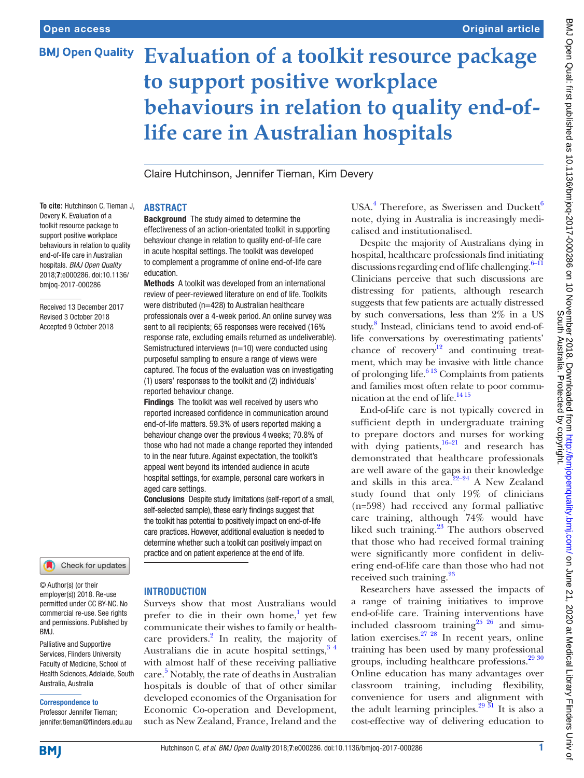**BMJ Open Quality** 

# Original article

# **Evaluation of a toolkit resource package to support positive workplace behaviours in relation to quality end-oflife care in Australian hospitals**

Claire Hutchinson, Jennifer Tieman, Kim Devery

Background The study aimed to determine the effectiveness of an action-orientated toolkit in supporting behaviour change in relation to quality end-of-life care in acute hospital settings. The toolkit was developed to complement a programme of online end-of-life care

Methods A toolkit was developed from an international review of peer-reviewed literature on end of life. Toolkits were distributed (n=428) to Australian healthcare professionals over a 4-week period. An online survey was sent to all recipients; 65 responses were received (16% response rate, excluding emails returned as undeliverable). Semistructured interviews (n=10) were conducted using purposeful sampling to ensure a range of views were captured. The focus of the evaluation was on investigating (1) users' responses to the toolkit and (2) individuals'

Findings The toolkit was well received by users who reported increased confidence in communication around end-of-life matters. 59.3% of users reported making a behaviour change over the previous 4weeks; 70.8% of those who had not made a change reported they intended to in the near future. Against expectation, the toolkit's appeal went beyond its intended audience in acute hospital settings, for example, personal care workers in

Conclusions Despite study limitations (self-report of a small, self-selected sample), these early findings suggest that the toolkit has potential to positively impact on end-of-life care practices. However, additional evaluation is needed to determine whether such a toolkit can positively impact on practice and on patient experience at the end of life.

#### **Abstract**

education.

reported behaviour change.

**To cite:** Hutchinson C, Tieman J, Devery K. Evaluation of a toolkit resource package to support positive workplace behaviours in relation to quality end-of-life care in Australian hospitals. *BMJ Open Quality* 2018;7:e000286. doi:10.1136/ bmjoq-2017-000286

Received 13 December 2017 Revised 3 October 2018 Accepted 9 October 2018

# Check for updates

© Author(s) (or their employer(s)) 2018. Re-use permitted under CC BY-NC. No commercial re-use. See rights and permissions. Published by BMJ.

Palliative and Supportive Services, Flinders University Faculty of Medicine, School of Health Sciences, Adelaide, South Australia, Australia

#### Correspondence to

Professor Jennifer Tieman; jennifer.tieman@flinders.edu.au

# **Introduction**

aged care settings.

Surveys show that most Australians would prefer to die in their own home,<sup>[1](#page-6-0)</sup> yet few communicate their wishes to family or healthcare providers.<sup>2</sup> In reality, the majority of Australians die in acute hospital settings,  $3\frac{4}{3}$ with almost half of these receiving palliative care. [5](#page-7-0) Notably, the rate of deaths in Australian hospitals is double of that of other similar developed economies of the Organisation for Economic Co-operation and Development, such as New Zealand, France, Ireland and the

USA. $4$  Therefore, as Swerissen and Duckett<sup>6</sup> note, dying in Australia is increasingly medicalised and institutionalised.

Despite the majority of Australians dying in hospital, healthcare professionals find initiating discussions regarding end of life challenging.<sup>[6–11](#page-7-2)</sup> Clinicians perceive that such discussions are distressing for patients, although research suggests that few patients are actually distressed by such conversations, less than 2% in a US study.<sup>[8](#page-7-3)</sup> Instead, clinicians tend to avoid end-oflife conversations by overestimating patients' chance of  $recovery$  and continuing treatment, which may be invasive with little chance of prolonging life. $613$  Complaints from patients and families most often relate to poor communication at the end of life.<sup>14 15</sup>

End-of-life care is not typically covered in sufficient depth in undergraduate training to prepare doctors and nurses for working with dying patients, $16-21$  and research has demonstrated that healthcare professionals are well aware of the gaps in their knowledge and skills in this area.<sup>22-24</sup> A New Zealand study found that only 19% of clinicians (n=598) had received any formal palliative care training, although 74% would have liked such training.<sup>23</sup> The authors observed that those who had received formal training were significantly more confident in delivering end-of-life care than those who had not received such training.<sup>[23](#page-7-8)</sup>

Researchers have assessed the impacts of a range of training initiatives to improve end-of-life care. Training interventions have included classroom training<sup>[25 26](#page-7-9)</sup> and simulation exercises[.27 28](#page-7-10) In recent years, online training has been used by many professional groups, including healthcare professions.<sup>[29 30](#page-7-11)</sup> Online education has many advantages over classroom training, including flexibility, convenience for users and alignment with the adult learning principles. $^{29}$ <sup>31</sup> It is also a cost-effective way of delivering education to

**BMI**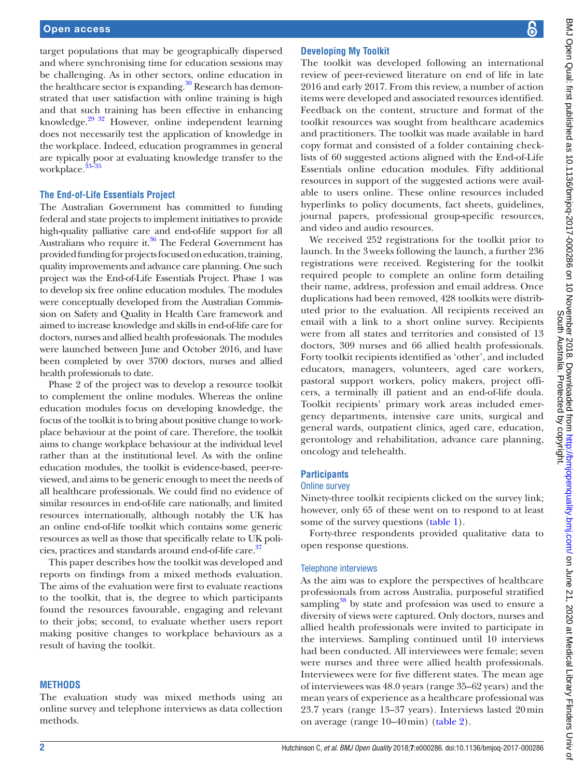target populations that may be geographically dispersed and where synchronising time for education sessions may be challenging. As in other sectors, online education in the healthcare sector is expanding. $30$  Research has demonstrated that user satisfaction with online training is high and that such training has been effective in enhancing knowledge. $29^{32}$  However, online independent learning does not necessarily test the application of knowledge in the workplace. Indeed, education programmes in general are typically poor at evaluating knowledge transfer to the workplace.<sup>[33–35](#page-7-13)</sup>

#### **The End-of-Life Essentials Project**

The Australian Government has committed to funding federal and state projects to implement initiatives to provide high-quality palliative care and end-of-life support for all Australians who require it.<sup>[36](#page-7-14)</sup> The Federal Government has provided funding for projects focused on education, training, quality improvements and advance care planning. One such project was the End-of-Life Essentials Project. Phase 1 was to develop six free online education modules. The modules were conceptually developed from the Australian Commission on Safety and Quality in Health Care framework and aimed to increase knowledge and skills in end-of-life care for doctors, nurses and allied health professionals. The modules were launched between June and October 2016, and have been completed by over 3700 doctors, nurses and allied health professionals to date.

Phase 2 of the project was to develop a resource toolkit to complement the online modules. Whereas the online education modules focus on developing knowledge, the focus of the toolkit is to bring about positive change to workplace behaviour at the point of care. Therefore, the toolkit aims to change workplace behaviour at the individual level rather than at the institutional level. As with the online education modules, the toolkit is evidence-based, peer-reviewed, and aims to be generic enough to meet the needs of all healthcare professionals. We could find no evidence of similar resources in end-of-life care nationally, and limited resources internationally, although notably the UK has an online end-of-life toolkit which contains some generic resources as well as those that specifically relate to UK policies, practices and standards around end-of-life care.<sup>37</sup>

This paper describes how the toolkit was developed and reports on findings from a mixed methods evaluation. The aims of the evaluation were first to evaluate reactions to the toolkit, that is, the degree to which participants found the resources favourable, engaging and relevant to their jobs; second, to evaluate whether users report making positive changes to workplace behaviours as a result of having the toolkit.

#### **Methods**

The evaluation study was mixed methods using an online survey and telephone interviews as data collection methods.

### **Developing My Toolkit**

The toolkit was developed following an international review of peer-reviewed literature on end of life in late 2016 and early 2017. From this review, a number of action items were developed and associated resources identified. Feedback on the content, structure and format of the toolkit resources was sought from healthcare academics and practitioners. The toolkit was made available in hard copy format and consisted of a folder containing checklists of 60 suggested actions aligned with the End-of-Life Essentials online education modules. Fifty additional resources in support of the suggested actions were available to users online. These online resources included hyperlinks to policy documents, fact sheets, guidelines, journal papers, professional group-specific resources, and video and audio resources.

We received 252 registrations for the toolkit prior to launch. In the 3weeks following the launch, a further 236 registrations were received. Registering for the toolkit required people to complete an online form detailing their name, address, profession and email address. Once duplications had been removed, 428 toolkits were distributed prior to the evaluation. All recipients received an email with a link to a short online survey. Recipients were from all states and territories and consisted of 13 doctors, 309 nurses and 66 allied health professionals. Forty toolkit recipients identified as 'other', and included educators, managers, volunteers, aged care workers, pastoral support workers, policy makers, project officers, a terminally ill patient and an end-of-life doula. Toolkit recipients' primary work areas included emergency departments, intensive care units, surgical and general wards, outpatient clinics, aged care, education, gerontology and rehabilitation, advance care planning, oncology and telehealth.

# **Participants**

### Online survey

Ninety-three toolkit recipients clicked on the survey link; however, only 65 of these went on to respond to at least some of the survey questions [\(table](#page-2-0) 1).

Forty-three respondents provided qualitative data to open response questions.

#### Telephone interviews

As the aim was to explore the perspectives of healthcare professionals from across Australia, purposeful stratified sampling<sup>38</sup> by state and profession was used to ensure a diversity of views were captured. Only doctors, nurses and allied health professionals were invited to participate in the interviews. Sampling continued until 10 interviews had been conducted. All interviewees were female; seven were nurses and three were allied health professionals. Interviewees were for five different states. The mean age of interviewees was 48.0 years (range 35–62 years) and the mean years of experience as a healthcare professional was 23.7 years (range 13–37 years). Interviews lasted 20min on average (range 10–40min) ([table](#page-3-0) 2).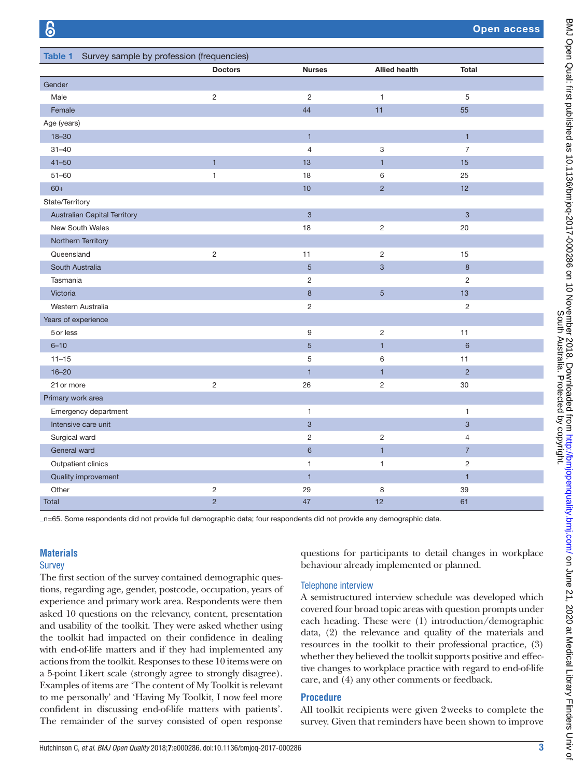<span id="page-2-0"></span>

| Survey sample by profession (frequencies)<br>Table 1 |                |                |                       |                  |  |  |  |
|------------------------------------------------------|----------------|----------------|-----------------------|------------------|--|--|--|
|                                                      | <b>Doctors</b> | <b>Nurses</b>  | <b>Allied health</b>  | <b>Total</b>     |  |  |  |
| Gender                                               |                |                |                       |                  |  |  |  |
| Male                                                 | $\overline{2}$ | $\overline{2}$ | $\overline{1}$        | 5                |  |  |  |
| Female                                               |                | 44             | 11                    | 55               |  |  |  |
| Age (years)                                          |                |                |                       |                  |  |  |  |
| $18 - 30$                                            |                | $\mathbf{1}$   |                       | $\mathbf{1}$     |  |  |  |
| $31 - 40$                                            |                | $\overline{4}$ | 3                     | $\overline{7}$   |  |  |  |
| $41 - 50$                                            | $\mathbf{1}$   | 13             | $\mathbf{1}$          | 15               |  |  |  |
| $51 - 60$                                            | $\mathbf{1}$   | 18             | 6                     | 25               |  |  |  |
| $60+$                                                |                | 10             | $\overline{2}$        | 12               |  |  |  |
| State/Territory                                      |                |                |                       |                  |  |  |  |
| <b>Australian Capital Territory</b>                  |                | 3              |                       | 3                |  |  |  |
| New South Wales                                      |                | 18             | $\overline{c}$        | 20               |  |  |  |
| Northern Territory                                   |                |                |                       |                  |  |  |  |
| Queensland                                           | $\overline{2}$ | 11             | $\overline{2}$        | 15               |  |  |  |
| South Australia                                      |                | 5              | $\overline{3}$        | $\boldsymbol{8}$ |  |  |  |
| Tasmania                                             |                | 2              |                       | $\overline{2}$   |  |  |  |
| Victoria                                             |                | 8              | $5\overline{)}$       | 13               |  |  |  |
| Western Australia                                    |                | $\overline{2}$ |                       | $\overline{2}$   |  |  |  |
| Years of experience                                  |                |                |                       |                  |  |  |  |
| 5 or less                                            |                | 9              | $\mathbf{2}^{\prime}$ | 11               |  |  |  |
| $6 - 10$                                             |                | 5              | $\mathbf{1}$          | $6\phantom{1}$   |  |  |  |
| $11 - 15$                                            |                | 5              | 6                     | 11               |  |  |  |
| $16 - 20$                                            |                | $\mathbf{1}$   | $\mathbf{1}$          | $\overline{2}$   |  |  |  |
| 21 or more                                           | $\overline{c}$ | 26             | $\overline{c}$        | 30               |  |  |  |
| Primary work area                                    |                |                |                       |                  |  |  |  |
| Emergency department                                 |                | 1              |                       | $\mathbf{1}$     |  |  |  |
| Intensive care unit                                  |                | 3              |                       | $\mathbf{3}$     |  |  |  |
| Surgical ward                                        |                | $\overline{c}$ | $\overline{c}$        | $\overline{4}$   |  |  |  |
| General ward                                         |                | $6\phantom{a}$ | $\blacksquare$        | $\overline{7}$   |  |  |  |
| Outpatient clinics                                   |                | 1              | 1                     | $\overline{2}$   |  |  |  |
| Quality improvement                                  |                | $\mathbf{1}$   |                       | $\mathbf{1}$     |  |  |  |
| Other                                                | 2              | 29             | 8                     | 39               |  |  |  |
| Total                                                | $\overline{c}$ | 47             | 12                    | 61               |  |  |  |

n=65. Some respondents did not provide full demographic data; four respondents did not provide any demographic data.

# **Materials**

### **Survey**

The first section of the survey contained demographic questions, regarding age, gender, postcode, occupation, years of experience and primary work area. Respondents were then asked 10 questions on the relevancy, content, presentation and usability of the toolkit. They were asked whether using the toolkit had impacted on their confidence in dealing with end-of-life matters and if they had implemented any actions from the toolkit. Responses to these 10 items were on a 5-point Likert scale (strongly agree to strongly disagree). Examples of items are 'The content of My Toolkit is relevant to me personally' and 'Having My Toolkit, I now feel more confident in discussing end-of-life matters with patients'. The remainder of the survey consisted of open response

questions for participants to detail changes in workplace behaviour already implemented or planned.

#### Telephone interview

A semistructured interview schedule was developed which covered four broad topic areas with question prompts under each heading. These were (1) introduction/demographic data, (2) the relevance and quality of the materials and resources in the toolkit to their professional practice, (3) whether they believed the toolkit supports positive and effective changes to workplace practice with regard to end-of-life care, and (4) any other comments or feedback.

#### **Procedure**

All toolkit recipients were given 2weeks to complete the survey. Given that reminders have been shown to improve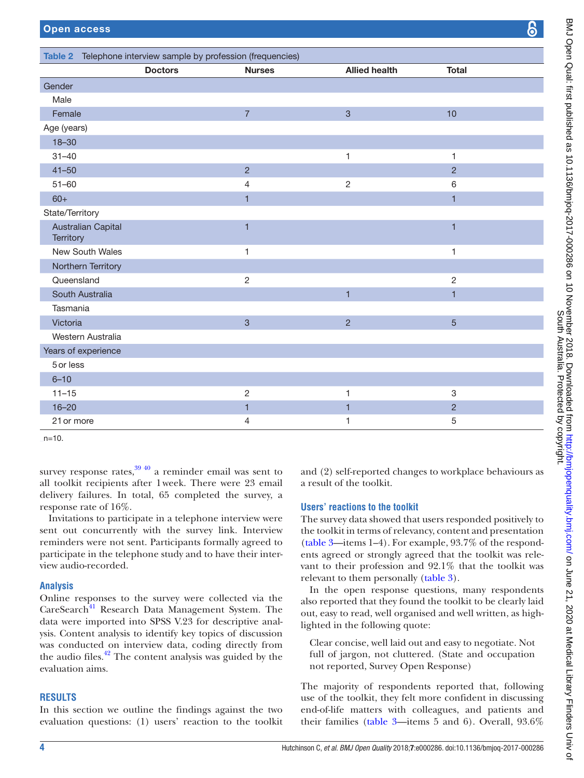<span id="page-3-0"></span>

| <b>Doctors</b><br><b>Nurses</b><br><b>Allied health</b><br><b>Total</b> |  |
|-------------------------------------------------------------------------|--|
|                                                                         |  |
| Gender                                                                  |  |
| Male                                                                    |  |
| $\overline{7}$<br>$\overline{3}$<br>Female<br>10                        |  |
| Age (years)                                                             |  |
| $18 - 30$                                                               |  |
| $31 - 40$<br>1<br>1                                                     |  |
| $\overline{2}$<br>$41 - 50$<br>$\overline{2}$                           |  |
| $\sqrt{2}$<br>$51 - 60$<br>4<br>$\,6\,$                                 |  |
| $\blacksquare$<br>$60+$<br>$\mathbf{1}$                                 |  |
| State/Territory                                                         |  |
| Australian Capital<br>$\overline{1}$<br>$\overline{1}$<br>Territory     |  |
| <b>New South Wales</b><br>1<br>1                                        |  |
| Northern Territory                                                      |  |
| Queensland<br>$\overline{2}$<br>$\overline{2}$                          |  |
| South Australia<br>$\mathbf{1}$<br>$\mathbf{1}$                         |  |
| Tasmania                                                                |  |
| $\mathbf{3}$<br>$\overline{2}$<br>$\overline{5}$<br>Victoria            |  |
| Western Australia                                                       |  |
| Years of experience                                                     |  |
| 5 or less                                                               |  |
| $6 - 10$                                                                |  |
| $11 - 15$<br>$\overline{c}$<br>$\,3$<br>1                               |  |
| $\blacksquare$<br>$\overline{2}$<br>$16 - 20$<br>$\mathbf{1}$           |  |
| 21 or more<br>5<br>4<br>1                                               |  |

 $n=10$ .

survey response rates, $39\frac{40}{9}$  a reminder email was sent to all toolkit recipients after 1week. There were 23 email delivery failures. In total, 65 completed the survey, a response rate of 16%.

Invitations to participate in a telephone interview were sent out concurrently with the survey link. Interview reminders were not sent. Participants formally agreed to participate in the telephone study and to have their interview audio-recorded.

# **Analysis**

Online responses to the survey were collected via the CareSearch<sup>41</sup> Research Data Management System. The data were imported into SPSS V.23 for descriptive analysis. Content analysis to identify key topics of discussion was conducted on interview data, coding directly from the audio files. $42$  The content analysis was guided by the evaluation aims.

# **Results**

In this section we outline the findings against the two evaluation questions: (1) users' reaction to the toolkit and (2) self-reported changes to workplace behaviours as a result of the toolkit.

# **Users' reactions to the toolkit**

The survey data showed that users responded positively to the toolkit in terms of relevancy, content and presentation [\(table](#page-4-0) 3—items 1–4). For example, 93.7% of the respondents agreed or strongly agreed that the toolkit was relevant to their profession and 92.1% that the toolkit was relevant to them personally ([table](#page-4-0) 3).

In the open response questions, many respondents also reported that they found the toolkit to be clearly laid out, easy to read, well organised and well written, as highlighted in the following quote:

Clear concise, well laid out and easy to negotiate. Not full of jargon, not cluttered. (State and occupation not reported, Survey Open Response)

The majority of respondents reported that, following use of the toolkit, they felt more confident in discussing end-of-life matters with colleagues, and patients and their families [\(table](#page-4-0) 3—items 5 and 6). Overall, 93.6%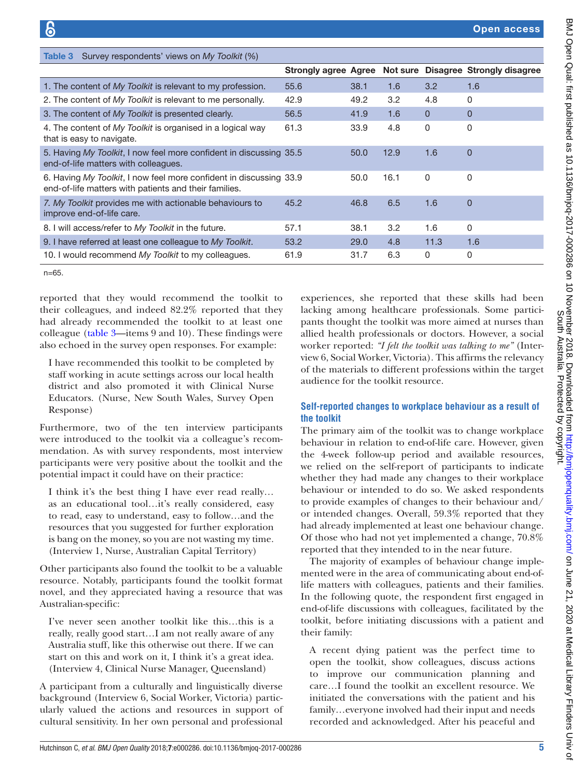<span id="page-4-0"></span>

| <b>EXAMPLE 6</b> Carvey responsive views chilly receive (79)                                                                |                             |      |      |          |                                     |
|-----------------------------------------------------------------------------------------------------------------------------|-----------------------------|------|------|----------|-------------------------------------|
|                                                                                                                             | <b>Strongly agree Agree</b> |      |      |          | Not sure Disagree Strongly disagree |
| 1. The content of My Toolkit is relevant to my profession.                                                                  | 55.6                        | 38.1 | 1.6  | 3.2      | 1.6                                 |
| 2. The content of My Toolkit is relevant to me personally.                                                                  | 42.9                        | 49.2 | 3.2  | 4.8      | 0                                   |
| 3. The content of My Toolkit is presented clearly.                                                                          | 56.5                        | 41.9 | 1.6  | $\Omega$ | $\Omega$                            |
| 4. The content of My Toolkit is organised in a logical way<br>that is easy to navigate.                                     | 61.3                        | 33.9 | 4.8  | 0        | 0                                   |
| 5. Having My Toolkit, I now feel more confident in discussing 35.5<br>end-of-life matters with colleagues.                  |                             | 50.0 | 12.9 | 1.6      | $\Omega$                            |
| 6. Having My Toolkit, I now feel more confident in discussing 33.9<br>end-of-life matters with patients and their families. |                             | 50.0 | 16.1 | 0        | 0                                   |
| 7. My Toolkit provides me with actionable behaviours to<br>improve end-of-life care.                                        | 45.2                        | 46.8 | 6.5  | 1.6      | $\Omega$                            |
| 8. I will access/refer to My Toolkit in the future.                                                                         | 57.1                        | 38.1 | 3.2  | 1.6      | $\mathbf{0}$                        |
| 9. I have referred at least one colleague to My Toolkit.                                                                    | 53.2                        | 29.0 | 4.8  | 11.3     | 1.6                                 |
| 10. I would recommend My Toolkit to my colleagues.                                                                          | 61.9                        | 31.7 | 6.3  | 0        | 0                                   |

n=65.

reported that they would recommend the toolkit to their colleagues, and indeed 82.2% reported that they had already recommended the toolkit to at least one colleague [\(table](#page-4-0) 3—items 9 and 10). These findings were also echoed in the survey open responses. For example:

Survey respondents' views on *My Toolkit* (%)

I have recommended this toolkit to be completed by staff working in acute settings across our local health district and also promoted it with Clinical Nurse Educators. (Nurse, New South Wales, Survey Open Response)

Furthermore, two of the ten interview participants were introduced to the toolkit via a colleague's recommendation. As with survey respondents, most interview participants were very positive about the toolkit and the potential impact it could have on their practice:

I think it's the best thing I have ever read really… as an educational tool…it's really considered, easy to read, easy to understand, easy to follow…and the resources that you suggested for further exploration is bang on the money, so you are not wasting my time. (Interview 1, Nurse, Australian Capital Territory)

Other participants also found the toolkit to be a valuable resource. Notably, participants found the toolkit format novel, and they appreciated having a resource that was Australian-specific:

I've never seen another toolkit like this…this is a really, really good start…I am not really aware of any Australia stuff, like this otherwise out there. If we can start on this and work on it, I think it's a great idea. (Interview 4, Clinical Nurse Manager, Queensland)

A participant from a culturally and linguistically diverse background (Interview 6, Social Worker, Victoria) particularly valued the actions and resources in support of cultural sensitivity. In her own personal and professional

experiences, she reported that these skills had been lacking among healthcare professionals. Some participants thought the toolkit was more aimed at nurses than allied health professionals or doctors. However, a social worker reported: *"I felt the toolkit was talking to me"* (Interview 6, Social Worker, Victoria). This affirms the relevancy of the materials to different professions within the target audience for the toolkit resource.

# **Self-reported changes to workplace behaviour as a result of the toolkit**

The primary aim of the toolkit was to change workplace behaviour in relation to end-of-life care. However, given the 4-week follow-up period and available resources, we relied on the self-report of participants to indicate whether they had made any changes to their workplace behaviour or intended to do so. We asked respondents to provide examples of changes to their behaviour and/ or intended changes. Overall, 59.3% reported that they had already implemented at least one behaviour change. Of those who had not yet implemented a change, 70.8% reported that they intended to in the near future.

The majority of examples of behaviour change implemented were in the area of communicating about end-oflife matters with colleagues, patients and their families. In the following quote, the respondent first engaged in end-of-life discussions with colleagues, facilitated by the toolkit, before initiating discussions with a patient and their family:

A recent dying patient was the perfect time to open the toolkit, show colleagues, discuss actions to improve our communication planning and care…I found the toolkit an excellent resource. We initiated the conversations with the patient and his family…everyone involved had their input and needs recorded and acknowledged. After his peaceful and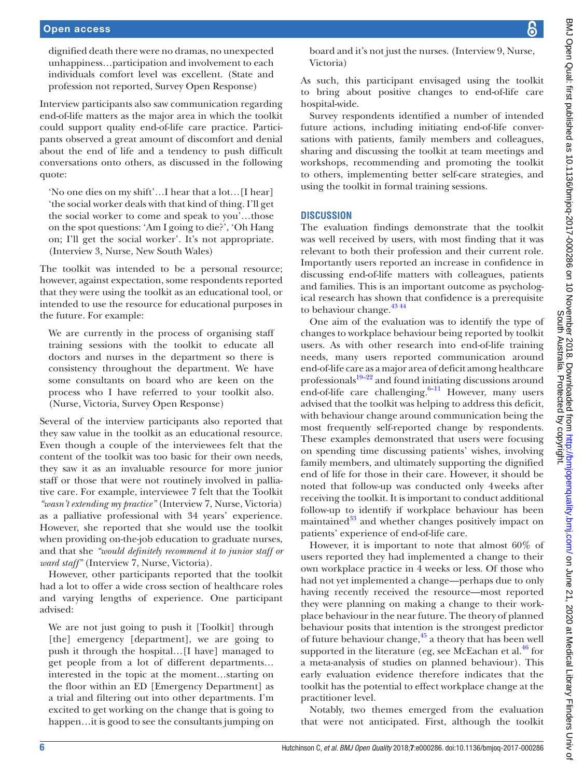dignified death there were no dramas, no unexpected unhappiness…participation and involvement to each individuals comfort level was excellent. (State and profession not reported, Survey Open Response)

Interview participants also saw communication regarding end-of-life matters as the major area in which the toolkit could support quality end-of-life care practice. Participants observed a great amount of discomfort and denial about the end of life and a tendency to push difficult conversations onto others, as discussed in the following quote:

'No one dies on my shift'…I hear that a lot…[I hear] 'the social worker deals with that kind of thing. I'll get the social worker to come and speak to you'…those on the spot questions: 'Am I going to die?', 'Oh Hang on; I'll get the social worker'. It's not appropriate. (Interview 3, Nurse, New South Wales)

The toolkit was intended to be a personal resource; however, against expectation, some respondents reported that they were using the toolkit as an educational tool, or intended to use the resource for educational purposes in the future. For example:

We are currently in the process of organising staff training sessions with the toolkit to educate all doctors and nurses in the department so there is consistency throughout the department. We have some consultants on board who are keen on the process who I have referred to your toolkit also. (Nurse, Victoria, Survey Open Response)

Several of the interview participants also reported that they saw value in the toolkit as an educational resource. Even though a couple of the interviewees felt that the content of the toolkit was too basic for their own needs, they saw it as an invaluable resource for more junior staff or those that were not routinely involved in palliative care. For example, interviewee 7 felt that the Toolkit *"wasn't extending my practice"* (Interview 7, Nurse, Victoria) as a palliative professional with 34 years' experience. However, she reported that she would use the toolkit when providing on-the-job education to graduate nurses, and that she *"would definitely recommend it to junior staff or ward staff"* (Interview 7, Nurse, Victoria).

However, other participants reported that the toolkit had a lot to offer a wide cross section of healthcare roles and varying lengths of experience. One participant advised:

We are not just going to push it [Toolkit] through [the] emergency [department], we are going to push it through the hospital…[I have] managed to get people from a lot of different departments… interested in the topic at the moment…starting on the floor within an ED [Emergency Department] as a trial and filtering out into other departments. I'm excited to get working on the change that is going to happen…it is good to see the consultants jumping on board and it's not just the nurses. (Interview 9, Nurse, Victoria)

As such, this participant envisaged using the toolkit to bring about positive changes to end-of-life care hospital-wide.

Survey respondents identified a number of intended future actions, including initiating end-of-life conversations with patients, family members and colleagues, sharing and discussing the toolkit at team meetings and workshops, recommending and promoting the toolkit to others, implementing better self-care strategies, and using the toolkit in formal training sessions.

# **Discussion**

The evaluation findings demonstrate that the toolkit was well received by users, with most finding that it was relevant to both their profession and their current role. Importantly users reported an increase in confidence in discussing end-of-life matters with colleagues, patients and families. This is an important outcome as psychological research has shown that confidence is a prerequisite to behaviour change.<sup>43</sup> 44

One aim of the evaluation was to identify the type of changes to workplace behaviour being reported by toolkit users. As with other research into end-of-life training needs, many users reported communication around end-of-life care as a major area of deficit among healthcare professionals $19-22$  and found initiating discussions around end-of-life care challenging. $6-11$  However, many users advised that the toolkit was helping to address this deficit, with behaviour change around communication being the most frequently self-reported change by respondents. These examples demonstrated that users were focusing on spending time discussing patients' wishes, involving family members, and ultimately supporting the dignified end of life for those in their care. However, it should be noted that follow-up was conducted only 4weeks after receiving the toolkit. It is important to conduct additional follow-up to identify if workplace behaviour has been maintained<sup>33</sup> and whether changes positively impact on patients' experience of end-of-life care.

However, it is important to note that almost 60% of users reported they had implemented a change to their own workplace practice in 4 weeks or less. Of those who had not yet implemented a change—perhaps due to only having recently received the resource—most reported they were planning on making a change to their workplace behaviour in the near future. The theory of planned behaviour posits that intention is the strongest predictor of future behaviour change, $45$  a theory that has been well supported in the literature (eg, see McEachan et al. $46$  for a meta-analysis of studies on planned behaviour). This early evaluation evidence therefore indicates that the toolkit has the potential to effect workplace change at the practitioner level.

Notably, two themes emerged from the evaluation that were not anticipated. First, although the toolkit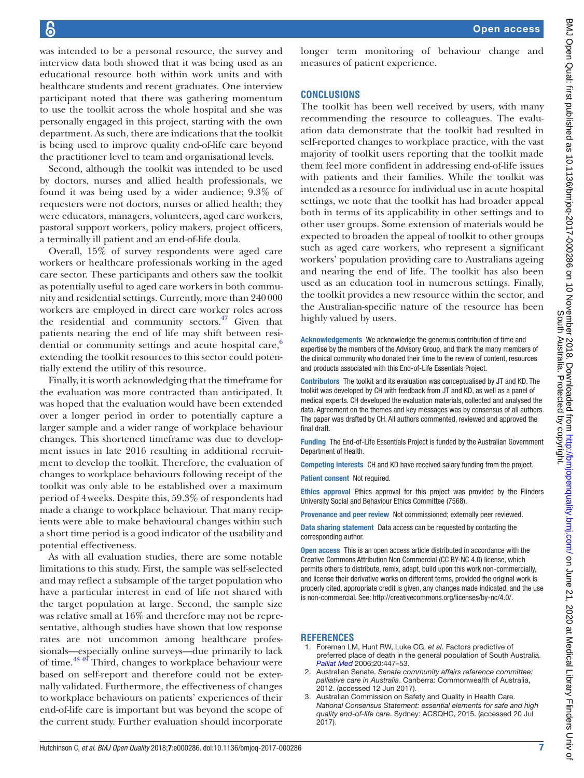was intended to be a personal resource, the survey and interview data both showed that it was being used as an educational resource both within work units and with healthcare students and recent graduates. One interview participant noted that there was gathering momentum to use the toolkit across the whole hospital and she was personally engaged in this project, starting with the own department. As such, there are indications that the toolkit is being used to improve quality end-of-life care beyond the practitioner level to team and organisational levels.

Second, although the toolkit was intended to be used by doctors, nurses and allied health professionals, we found it was being used by a wider audience; 9.3% of requesters were not doctors, nurses or allied health; they were educators, managers, volunteers, aged care workers, pastoral support workers, policy makers, project officers, a terminally ill patient and an end-of-life doula.

Overall, 15% of survey respondents were aged care workers or healthcare professionals working in the aged care sector. These participants and others saw the toolkit as potentially useful to aged care workers in both community and residential settings. Currently, more than 240000 workers are employed in direct care worker roles across the residential and community sectors. $47$  Given that patients nearing the end of life may shift between resi-dential or community settings and acute hospital care,<sup>[6](#page-7-2)</sup> extending the toolkit resources to this sector could potentially extend the utility of this resource.

Finally, it is worth acknowledging that the timeframe for the evaluation was more contracted than anticipated. It was hoped that the evaluation would have been extended over a longer period in order to potentially capture a larger sample and a wider range of workplace behaviour changes. This shortened timeframe was due to development issues in late 2016 resulting in additional recruitment to develop the toolkit. Therefore, the evaluation of changes to workplace behaviours following receipt of the toolkit was only able to be established over a maximum period of 4weeks. Despite this, 59.3% of respondents had made a change to workplace behaviour. That many recipients were able to make behavioural changes within such a short time period is a good indicator of the usability and potential effectiveness.

As with all evaluation studies, there are some notable limitations to this study. First, the sample was self-selected and may reflect a subsample of the target population who have a particular interest in end of life not shared with the target population at large. Second, the sample size was relative small at 16% and therefore may not be representative, although studies have shown that low response rates are not uncommon among healthcare professionals—especially online surveys—due primarily to lack of time.[48 49](#page-7-25) Third, changes to workplace behaviour were based on self-report and therefore could not be externally validated. Furthermore, the effectiveness of changes to workplace behaviours on patients' experiences of their end-of-life care is important but was beyond the scope of the current study. Further evaluation should incorporate

longer term monitoring of behaviour change and measures of patient experience.

# **Conclusions**

The toolkit has been well received by users, with many recommending the resource to colleagues. The evaluation data demonstrate that the toolkit had resulted in self-reported changes to workplace practice, with the vast majority of toolkit users reporting that the toolkit made them feel more confident in addressing end-of-life issues with patients and their families. While the toolkit was intended as a resource for individual use in acute hospital settings, we note that the toolkit has had broader appeal both in terms of its applicability in other settings and to other user groups. Some extension of materials would be expected to broaden the appeal of toolkit to other groups such as aged care workers, who represent a significant workers' population providing care to Australians ageing and nearing the end of life. The toolkit has also been used as an education tool in numerous settings. Finally, the toolkit provides a new resource within the sector, and the Australian-specific nature of the resource has been highly valued by users.

Acknowledgements We acknowledge the generous contribution of time and expertise by the members of the Advisory Group, and thank the many members of the clinical community who donated their time to the review of content, resources and products associated with this End-of-Life Essentials Project.

Contributors The toolkit and its evaluation was conceptualised by JT and KD. The toolkit was developed by CH with feedback from JT and KD, as well as a panel of medical experts. CH developed the evaluation materials, collected and analysed the data. Agreement on the themes and key messages was by consensus of all authors. The paper was drafted by CH. All authors commented, reviewed and approved the final draft.

Funding The End-of-Life Essentials Project is funded by the Australian Government Department of Health.

Competing interests CH and KD have received salary funding from the project.

Patient consent Not required.

Ethics approval Ethics approval for this project was provided by the Flinders University Social and Behaviour Ethics Committee (7568).

Provenance and peer review Not commissioned; externally peer reviewed.

Data sharing statement Data access can be requested by contacting the corresponding author.

Open access This is an open access article distributed in accordance with the Creative Commons Attribution Non Commercial (CC BY-NC 4.0) license, which permits others to distribute, remix, adapt, build upon this work non-commercially, and license their derivative works on different terms, provided the original work is properly cited, appropriate credit is given, any changes made indicated, and the use is non-commercial. See: [http://creativecommons.org/licenses/by-nc/4.0/.](http://creativecommons.org/licenses/by-nc/4.0/)

#### **References**

- <span id="page-6-0"></span>1. Foreman LM, Hunt RW, Luke CG, *et al*. Factors predictive of preferred place of death in the general population of South Australia. *[Palliat Med](http://dx.doi.org/10.1191/0269216306pm1149oa)* 2006;20:447–53.
- <span id="page-6-1"></span>2. Australian Senate. *Senate community affairs reference committee: palliative care in Australia*. Canberra: Commonwealth of Australia, 2012. (accessed 12 Jun 2017).
- <span id="page-6-2"></span>3. Australian Commission on Safety and Quality in Health Care. *National Consensus Statement: essential elements for safe and high quality end-of-life care*. Sydney: ACSQHC, 2015. (accessed 20 Jul 2017).

South Australia. Protected by copyright.